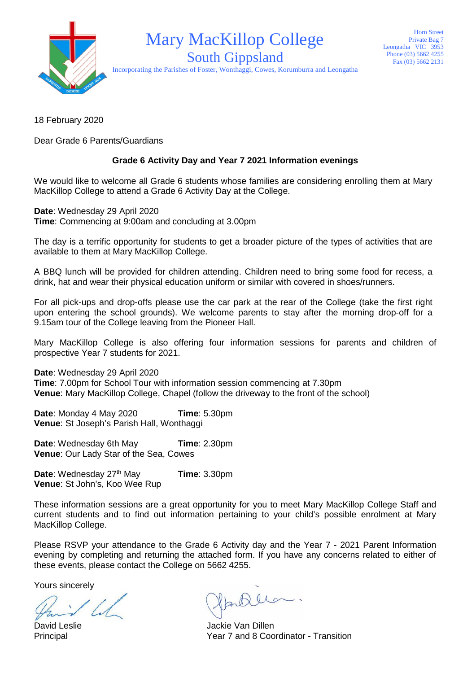

## Mary MacKillop College

Horn Street Private Bag 7 Leongatha VIC 3953 Phone (03) 5662 4255 Fax (03) 5662 2131

South Gippsland Incorporating the Parishes of Foster, Wonthaggi, Cowes, Korumburra and Leongatha

18 February 2020

Dear Grade 6 Parents/Guardians

## **Grade 6 Activity Day and Year 7 2021 Information evenings**

We would like to welcome all Grade 6 students whose families are considering enrolling them at Mary MacKillop College to attend a Grade 6 Activity Day at the College.

**Date**: Wednesday 29 April 2020 **Time**: Commencing at 9:00am and concluding at 3.00pm

The day is a terrific opportunity for students to get a broader picture of the types of activities that are available to them at Mary MacKillop College.

A BBQ lunch will be provided for children attending. Children need to bring some food for recess, a drink, hat and wear their physical education uniform or similar with covered in shoes/runners.

For all pick-ups and drop-offs please use the car park at the rear of the College (take the first right upon entering the school grounds). We welcome parents to stay after the morning drop-off for a 9.15am tour of the College leaving from the Pioneer Hall.

Mary MacKillop College is also offering four information sessions for parents and children of prospective Year 7 students for 2021.

**Date**: Wednesday 29 April 2020

**Time**: 7.00pm for School Tour with information session commencing at 7.30pm **Venue**: Mary MacKillop College, Chapel (follow the driveway to the front of the school)

**Date**: Monday 4 May 2020 **Time**: 5.30pm **Venue**: St Joseph's Parish Hall, Wonthaggi

**Date:** Wednesday 6th May **Time**: 2.30pm **Venue**: Our Lady Star of the Sea, Cowes

**Date**: Wednesday 27<sup>th</sup> May **Time**: 3.30pm **Venue**: St John's, Koo Wee Rup

These information sessions are a great opportunity for you to meet Mary MacKillop College Staff and current students and to find out information pertaining to your child's possible enrolment at Mary MacKillop College.

Please RSVP your attendance to the Grade 6 Activity day and the Year 7 - 2021 Parent Information evening by completing and returning the attached form. If you have any concerns related to either of these events, please contact the College on 5662 4255.

Yours sincerely

Partillo

David Leslie Van Dillen Principal Year 7 and 8 Coordinator - Transition